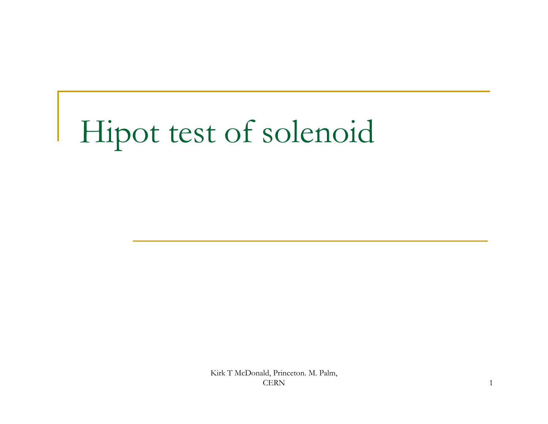## Hipot test of solenoid

Kirk T McDonald, Princeton. M. Palm, CERN 2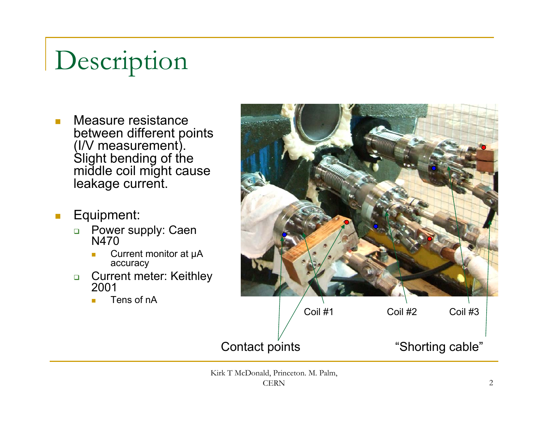## Description

- $\overline{\mathbb{R}^n}$  Measure resistance between different points (I/V measurement). Slight bending of the middle coil might cause leakage current.
- $\mathbb{Z}^2$  Equipment:
	- $\Box$  Power supply: Caen N470
		- Current monitor at μA accuracy
	- $\Box$  Current meter: Keithley 2001
		- Tens of nA



Kirk T McDonald, Princeton. M. Palm, **CERN**  $\rm N$  2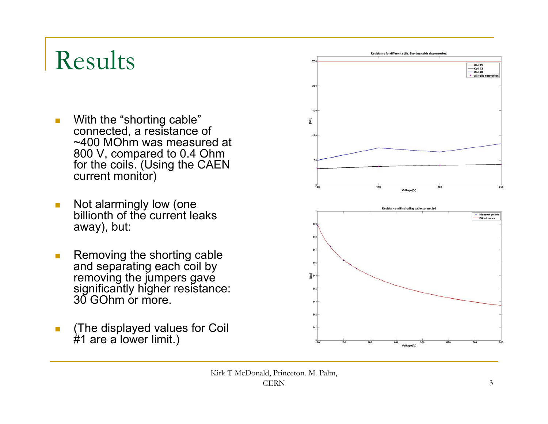## Results

- $\overline{\mathbb{R}^n}$  With the "shorting cable" connected, a resistance of ~400 MOhm was measured at 800 V, compared to 0.4 Ohm for the coils. (Using the CAEN current monitor)
- $\mathbb{R}^n$  Not alarmingly low (one billionth of the current leaks away), but:
- $\mathcal{L}_{\mathcal{A}}$ **Removing the shorting cable** and separating each coil by removing the jumpers gave significantly higher resistance: 30 GOhm or more.
- **The displayed values for Coil** #1 are a lower limit.)



Kirk T McDonald, Princeton. M. Palm, CERN $\mathcal{N}$  3